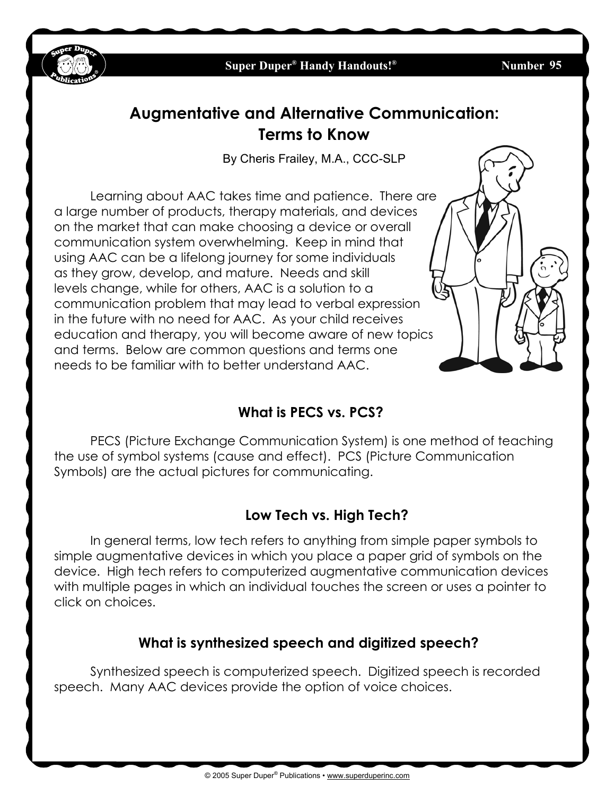

**Number 95** 

# **Augmentative and Alternative Communication: Terms to Know**

By Cheris Frailey, M.A., CCC-SLP

Learning about AAC takes time and patience. There are a large number of products, therapy materials, and devices on the market that can make choosing a device or overall communication system overwhelming. Keep in mind that using AAC can be a lifelong journey for some individuals as they grow, develop, and mature. Needs and skill levels change, while for others, AAC is a solution to a communication problem that may lead to verbal expression in the future with no need for AAC. As your child receives education and therapy, you will become aware of new topics and terms. Below are common questions and terms one needs to be familiar with to better understand AAC.

## **What is PECS vs. PCS?**

PECS (Picture Exchange Communication System) is one method of teaching the use of symbol systems (cause and effect). PCS (Picture Communication Symbols) are the actual pictures for communicating.

### **Low Tech vs. High Tech?**

In general terms, low tech refers to anything from simple paper symbols to simple augmentative devices in which you place a paper grid of symbols on the device. High tech refers to computerized augmentative communication devices with multiple pages in which an individual touches the screen or uses a pointer to click on choices.

## **What is synthesized speech and digitized speech?**

Synthesized speech is computerized speech. Digitized speech is recorded speech. Many AAC devices provide the option of voice choices.